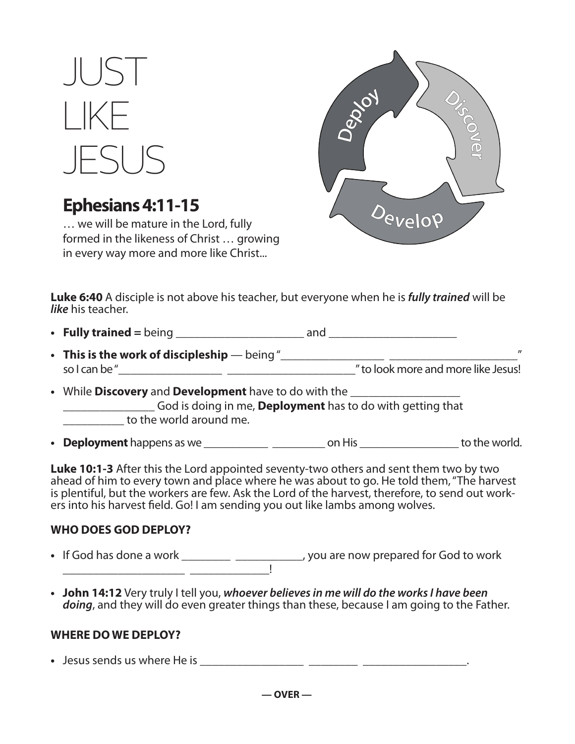# $\parallel$  JS LIKE JESUS

# **Ephesians 4:11-15**

… we will be mature in the Lord, fully formed in the likeness of Christ … growing in every way more and more like Christ...



**Luke 6:40** A disciple is not above his teacher, but everyone when he is **fully trained** will be **like** his teacher.

**• Fully trained =** being \_\_\_\_\_\_\_\_\_\_\_\_\_\_\_\_\_\_\_\_\_ and \_\_\_\_\_\_\_\_\_\_\_\_\_\_\_\_\_\_\_\_\_

- **This is the work of discipleship**  being "\_\_\_\_\_\_\_\_\_\_\_\_\_\_\_\_\_ \_\_\_\_\_\_\_\_\_\_\_\_\_\_\_\_\_\_\_\_\_" so I can be "\_\_\_\_\_\_\_\_\_\_\_\_\_\_\_\_\_ \_\_\_\_\_\_\_\_\_\_\_\_\_\_\_\_\_\_\_\_\_" to look more and more like Jesus!
- While **Discovery** and **Development** have to do with the \_\_\_\_\_\_\_\_\_\_\_\_\_\_\_\_\_\_ \_\_\_\_\_\_\_\_\_\_\_\_\_\_\_ God is doing in me, **Deployment** has to do with getting that to the world around me.
- **Deployment** happens as we \_\_\_\_\_\_\_\_\_\_\_ \_\_\_\_\_\_\_\_\_ on His \_\_\_\_\_\_\_\_\_\_\_\_\_\_\_\_\_ to the world.

**Luke 10:1-3** After this the Lord appointed seventy-two others and sent them two by two ahead of him to every town and place where he was about to go. He told them, "The harvest is plentiful, but the workers are few. Ask the Lord of the harvest, therefore, to send out workers into his harvest field. Go! I am sending you out like lambs among wolves.

## **WHO DOES GOD DEPLOY?**

- If God has done a work \_\_\_\_\_\_\_\_\_\_\_\_\_\_\_\_\_\_\_\_\_\_\_\_\_, you are now prepared for God to work \_\_\_\_\_\_\_\_\_\_\_\_\_\_\_\_\_\_\_\_ \_\_\_\_\_\_\_\_\_\_\_\_\_!
- **John 14:12** Very truly I tell you, **whoever believes in me will do the works I have been doing**, and they will do even greater things than these, because I am going to the Father.

## **WHERE DO WE DEPLOY?**

**•** Jesus sends us where He is \_\_\_\_\_\_\_\_\_\_\_\_\_\_\_\_\_ \_\_\_\_\_\_\_\_ \_\_\_\_\_\_\_\_\_\_\_\_\_\_\_\_\_.